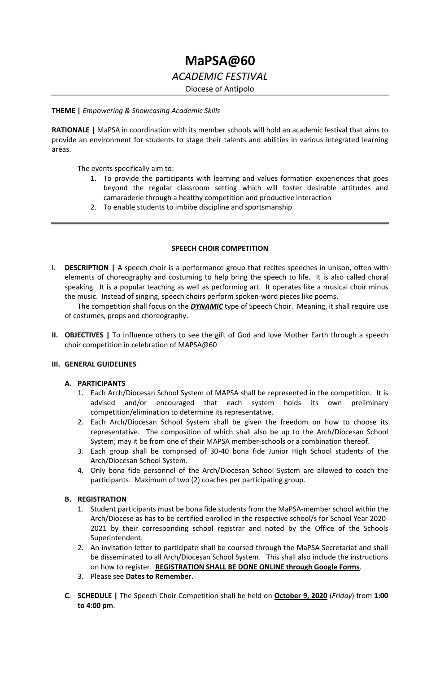# **MaPSA@60** *ACADEMIC FESTIVAL* Diocese of Antipolo

#### **THEME |** *Empowering & Showcasing Academic Skills*

**RATIONALE |** MaPSA in coordination with its member schools will hold an academic festival that aims to provide an environment for students to stage their talents and abilities in various integrated learning areas.

The events specifically aim to:

- 1. To provide the participants with learning and values formation experiences that goes beyond the regular classroom setting which will foster desirable attitudes and camaraderie through a healthy competition and productive interaction
- 2. To enable students to imbibe discipline and sportsmanship

### **SPEECH CHOIR COMPETITION**

I. **DESCRIPTION |** A speech choir is a performance group that recites speeches in unison, often with elements of choreography and costuming to help bring the speech to life. It is also called choral speaking. It is a popular teaching as well as performing art. It operates like a musical choir minus the music. Instead of singing, speech choirs perform spoken-word pieces like poems.

The competition shall focus on the *DYNAMIC* type of Speech Choir. Meaning, it shall require use of costumes, props and choreography.

**II. OBJECTIVES |** To Influence others to see the gift of God and love Mother Earth through a speech choir competition in celebration of MAPSA@60

## **III. GENERAL GUIDELINES**

## **A. PARTICIPANTS**

- 1. Each Arch/Diocesan School System of MAPSA shall be represented in the competition. It is advised and/or encouraged that each system holds its own preliminary competition/elimination to determine its representative.
- 2. Each Arch/Diocesan School System shall be given the freedom on how to choose its representative. The composition of which shall also be up to the Arch/Diocesan School System; may it be from one of their MAPSA member-schools or a combination thereof.
- 3. Each group shall be comprised of 30-40 bona fide Junior High School students of the Arch/Diocesan School System.
- 4. Only bona fide personnel of the Arch/Diocesan School System are allowed to coach the participants. Maximum of two (2) coaches per participating group.

## **B. REGISTRATION**

- 1. Student participants must be bona fide students from the MaPSA-member school within the Arch/Diocese as has to be certified enrolled in the respective school/s for School Year 2020- 2021 by their corresponding school registrar and noted by the Office of the Schools Superintendent.
- 2. An invitation letter to participate shall be coursed through the MaPSA Secretariat and shall be disseminated to all Arch/Diocesan School System. This shall also include the instructions on how to register. **REGISTRATION SHALL BE DONE ONLINE through Google Forms**.
- 3. Please see **Dates to Remember**.
- **C. SCHEDULE |** The Speech Choir Competition shall be held on **October 9, 2020** (*Friday*) from **1:00 to 4:00 pm**.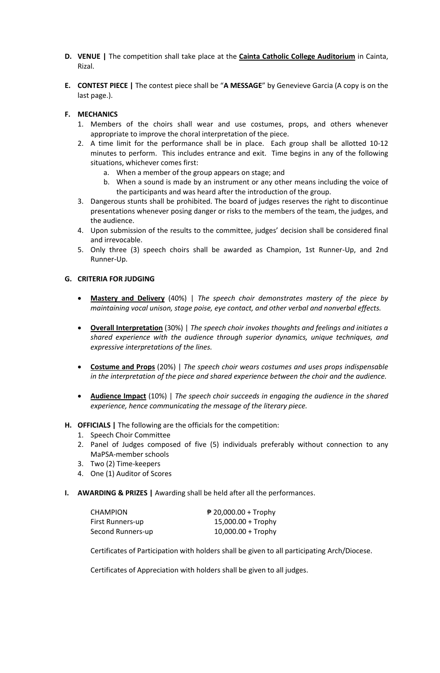- **D. VENUE |** The competition shall take place at the **Cainta Catholic College Auditorium** in Cainta, Rizal.
- **E. CONTEST PIECE |** The contest piece shall be "**A MESSAGE**" by Genevieve Garcia (A copy is on the last page.).

# **F. MECHANICS**

- 1. Members of the choirs shall wear and use costumes, props, and others whenever appropriate to improve the choral interpretation of the piece.
- 2. A time limit for the performance shall be in place. Each group shall be allotted 10-12 minutes to perform. This includes entrance and exit. Time begins in any of the following situations, whichever comes first:
	- a. When a member of the group appears on stage; and
	- b. When a sound is made by an instrument or any other means including the voice of the participants and was heard after the introduction of the group.
- 3. Dangerous stunts shall be prohibited. The board of judges reserves the right to discontinue presentations whenever posing danger or risks to the members of the team, the judges, and the audience.
- 4. Upon submission of the results to the committee, judges' decision shall be considered final and irrevocable.
- 5. Only three (3) speech choirs shall be awarded as Champion, 1st Runner-Up, and 2nd Runner-Up.

## **G. CRITERIA FOR JUDGING**

- **Mastery and Delivery** (40%) | *The speech choir demonstrates mastery of the piece by maintaining vocal unison, stage poise, eye contact, and other verbal and nonverbal effects.*
- **Overall Interpretation** (30%) | *The speech choir invokes thoughts and feelings and initiates a shared experience with the audience through superior dynamics, unique techniques, and expressive interpretations of the lines.*
- **Costume and Props** (20%) | *The speech choir wears costumes and uses props indispensable in the interpretation of the piece and shared experience between the choir and the audience.*
- **Audience Impact** (10%) | *The speech choir succeeds in engaging the audience in the shared experience, hence communicating the message of the literary piece.*

## **H. OFFICIALS |** The following are the officials for the competition:

- 1. Speech Choir Committee
- 2. Panel of Judges composed of five (5) individuals preferably without connection to any MaPSA-member schools
- 3. Two (2) Time-keepers
- 4. One (1) Auditor of Scores
- **I. AWARDING & PRIZES |** Awarding shall be held after all the performances.

| <b>CHAMPION</b>   | $\sqrt{20,000.00}$ + Trophy |
|-------------------|-----------------------------|
| First Runners-up  | $15,000.00 + \text{Trophy}$ |
| Second Runners-up | $10,000.00 + \text{Trophy}$ |

Certificates of Participation with holders shall be given to all participating Arch/Diocese.

Certificates of Appreciation with holders shall be given to all judges.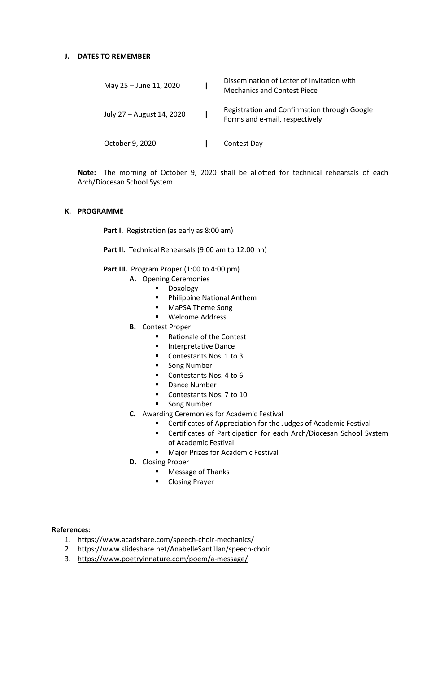## **J. DATES TO REMEMBER**

| May 25 - June 11, 2020    | Dissemination of Letter of Invitation with<br><b>Mechanics and Contest Piece</b> |
|---------------------------|----------------------------------------------------------------------------------|
| July 27 - August 14, 2020 | Registration and Confirmation through Google<br>Forms and e-mail, respectively   |
| October 9, 2020           | Contest Day                                                                      |

**Note:** The morning of October 9, 2020 shall be allotted for technical rehearsals of each Arch/Diocesan School System.

### **K. PROGRAMME**

Part I. Registration (as early as 8:00 am)

Part II. Technical Rehearsals (9:00 am to 12:00 nn)

Part III. Program Proper (1:00 to 4:00 pm)

- **A.** Opening Ceremonies
	- **-** Doxology
	- **Philippine National Anthem**
	- **MaPSA Theme Song**
	- **•** Welcome Address
- **B.** Contest Proper
	- Rationale of the Contest
	- **Interpretative Dance**
	- Contestants Nos. 1 to 3
	- **Song Number**
	- Contestants Nos. 4 to 6
	- **-** Dance Number
	- Contestants Nos. 7 to 10
	- **Song Number**
- **C.** Awarding Ceremonies for Academic Festival
	- Certificates of Appreciation for the Judges of Academic Festival
	- **EXEC** Certificates of Participation for each Arch/Diocesan School System of Academic Festival
	- **Major Prizes for Academic Festival**
- **D.** Closing Proper
	- **Message of Thanks**
	- **-** Closing Prayer

#### **References:**

- 1. <https://www.acadshare.com/speech-choir-mechanics/>
- 2. <https://www.slideshare.net/AnabelleSantillan/speech-choir>
- 3. <https://www.poetryinnature.com/poem/a-message/>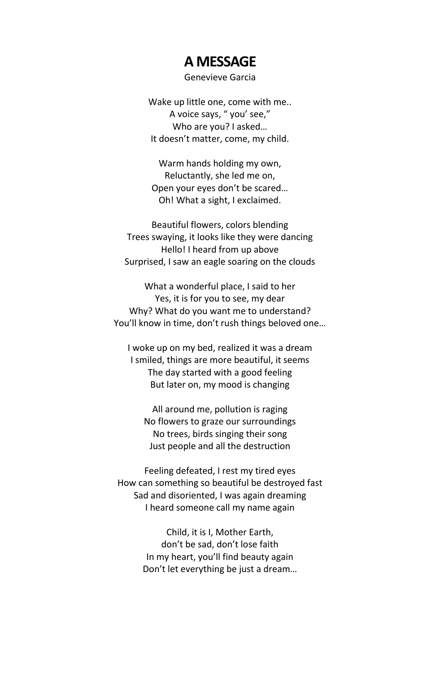# **A MESSAGE**

# Genevieve Garcia

Wake up little one, come with me.. A voice says, " you' see," Who are you? I asked… It doesn't matter, come, my child.

Warm hands holding my own, Reluctantly, she led me on, Open your eyes don't be scared… Oh! What a sight, I exclaimed.

Beautiful flowers, colors blending Trees swaying, it looks like they were dancing Hello! I heard from up above Surprised, I saw an eagle soaring on the clouds

What a wonderful place, I said to her Yes, it is for you to see, my dear Why? What do you want me to understand? You'll know in time, don't rush things beloved one…

I woke up on my bed, realized it was a dream I smiled, things are more beautiful, it seems The day started with a good feeling But later on, my mood is changing

All around me, pollution is raging No flowers to graze our surroundings No trees, birds singing their song Just people and all the destruction

Feeling defeated, I rest my tired eyes How can something so beautiful be destroyed fast Sad and disoriented, I was again dreaming I heard someone call my name again

> Child, it is I, Mother Earth, don't be sad, don't lose faith In my heart, you'll find beauty again Don't let everything be just a dream…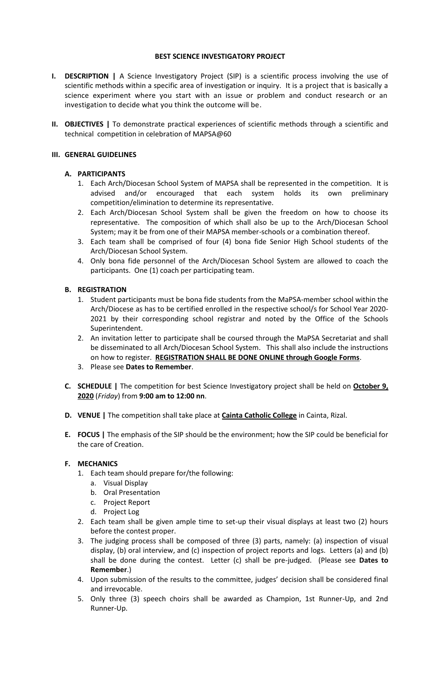## **BEST SCIENCE INVESTIGATORY PROJECT**

- **I. DESCRIPTION |** A Science Investigatory Project (SIP) is a scientific process involving the use of scientific methods within a specific area of investigation or inquiry. It is a project that is basically a science experiment where you start with an issue or problem and conduct research or an investigation to decide what you think the outcome will be.
- **II. OBJECTIVES |** To demonstrate practical experiences of scientific methods through a scientific and technical competition in celebration of MAPSA@60

## **III. GENERAL GUIDELINES**

## **A. PARTICIPANTS**

- 1. Each Arch/Diocesan School System of MAPSA shall be represented in the competition. It is advised and/or encouraged that each system holds its own preliminary competition/elimination to determine its representative.
- 2. Each Arch/Diocesan School System shall be given the freedom on how to choose its representative. The composition of which shall also be up to the Arch/Diocesan School System; may it be from one of their MAPSA member-schools or a combination thereof.
- 3. Each team shall be comprised of four (4) bona fide Senior High School students of the Arch/Diocesan School System.
- 4. Only bona fide personnel of the Arch/Diocesan School System are allowed to coach the participants. One (1) coach per participating team.

## **B. REGISTRATION**

- 1. Student participants must be bona fide students from the MaPSA-member school within the Arch/Diocese as has to be certified enrolled in the respective school/s for School Year 2020- 2021 by their corresponding school registrar and noted by the Office of the Schools Superintendent.
- 2. An invitation letter to participate shall be coursed through the MaPSA Secretariat and shall be disseminated to all Arch/Diocesan School System. This shall also include the instructions on how to register. **REGISTRATION SHALL BE DONE ONLINE through Google Forms**.
- 3. Please see **Dates to Remember**.
- **C. SCHEDULE |** The competition for best Science Investigatory project shall be held on **October 9, 2020** (*Friday*) from **9:00 am to 12:00 nn**.
- **D. VENUE |** The competition shall take place at **Cainta Catholic College** in Cainta, Rizal.
- **E. FOCUS |** The emphasis of the SIP should be the environment; how the SIP could be beneficial for the care of Creation.

## **F. MECHANICS**

- 1. Each team should prepare for/the following:
	- a. Visual Display
	- b. Oral Presentation
	- c. Project Report
	- d. Project Log
- 2. Each team shall be given ample time to set-up their visual displays at least two (2) hours before the contest proper.
- 3. The judging process shall be composed of three (3) parts, namely: (a) inspection of visual display, (b) oral interview, and (c) inspection of project reports and logs. Letters (a) and (b) shall be done during the contest. Letter (c) shall be pre-judged. (Please see **Dates to Remember**.)
- 4. Upon submission of the results to the committee, judges' decision shall be considered final and irrevocable.
- 5. Only three (3) speech choirs shall be awarded as Champion, 1st Runner-Up, and 2nd Runner-Up.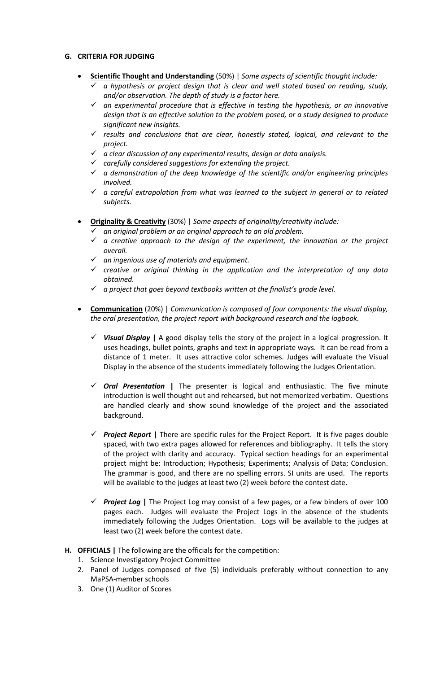# **G. CRITERIA FOR JUDGING**

- **Scientific Thought and Understanding** (50%) | *Some aspects of scientific thought include:*
	- *a hypothesis or project design that is clear and well stated based on reading, study, and/or observation. The depth of study is a factor here.*
	- *an experimental procedure that is effective in testing the hypothesis, or an innovative design that is an effective solution to the problem posed, or a study designed to produce significant new insights.*
	- *results and conclusions that are clear, honestly stated, logical, and relevant to the project.*
	- *a clear discussion of any experimental results, design or data analysis.*
	- *carefully considered suggestions for extending the project.*
	- *a demonstration of the deep knowledge of the scientific and/or engineering principles involved.*
	- *a careful extrapolation from what was learned to the subject in general or to related subjects.*
- **Originality & Creativity** (30%) | *Some aspects of originality/creativity include:*
	- *an original problem or an original approach to an old problem.*
	- *a creative approach to the design of the experiment, the innovation or the project overall.*
	- *an ingenious use of materials and equipment.*
	- *creative or original thinking in the application and the interpretation of any data obtained.*
	- *a project that goes beyond textbooks written at the finalist's grade level.*
- **Communication** (20%) | *Communication is composed of four components: the visual display, the oral presentation, the project report with background research and the logbook.*
	- *Visual Display* **|** A good display tells the story of the project in a logical progression. It uses headings, bullet points, graphs and text in appropriate ways. It can be read from a distance of 1 meter. It uses attractive color schemes. Judges will evaluate the Visual Display in the absence of the students immediately following the Judges Orientation.
	- *Oral Presentation* **|** The presenter is logical and enthusiastic. The five minute introduction is well thought out and rehearsed, but not memorized verbatim. Questions are handled clearly and show sound knowledge of the project and the associated background.
	- *Project Report* **|** There are specific rules for the Project Report. It is five pages double spaced, with two extra pages allowed for references and bibliography. It tells the story of the project with clarity and accuracy. Typical section headings for an experimental project might be: Introduction; Hypothesis; Experiments; Analysis of Data; Conclusion. The grammar is good, and there are no spelling errors. SI units are used. The reports will be available to the judges at least two (2) week before the contest date.
	- *Project Log* **|** The Project Log may consist of a few pages, or a few binders of over 100 pages each. Judges will evaluate the Project Logs in the absence of the students immediately following the Judges Orientation. Logs will be available to the judges at least two (2) week before the contest date.
- **H. OFFICIALS |** The following are the officials for the competition:
	- 1. Science Investigatory Project Committee
	- 2. Panel of Judges composed of five (5) individuals preferably without connection to any MaPSA-member schools
	- 3. One (1) Auditor of Scores